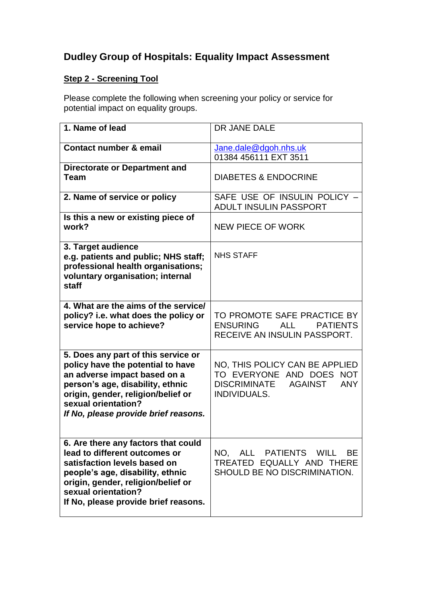## **Dudley Group of Hospitals: Equality Impact Assessment**

## **Step 2 - Screening Tool**

Please complete the following when screening your policy or service for potential impact on equality groups.

| 1. Name of lead                                                                                                                                                                                                                                   | DR JANE DALE                                                                                                                      |
|---------------------------------------------------------------------------------------------------------------------------------------------------------------------------------------------------------------------------------------------------|-----------------------------------------------------------------------------------------------------------------------------------|
| Contact number & email                                                                                                                                                                                                                            | Jane.dale@dgoh.nhs.uk<br>01384 456111 EXT 3511                                                                                    |
| Directorate or Department and<br>Team                                                                                                                                                                                                             | <b>DIABETES &amp; ENDOCRINE</b>                                                                                                   |
| 2. Name of service or policy                                                                                                                                                                                                                      | SAFE USE OF INSULIN POLICY -<br>ADULT INSULIN PASSPORT                                                                            |
| Is this a new or existing piece of<br>work?                                                                                                                                                                                                       | <b>NEW PIECE OF WORK</b>                                                                                                          |
| 3. Target audience<br>e.g. patients and public; NHS staff;<br>professional health organisations;<br>voluntary organisation; internal<br>staff                                                                                                     | <b>NHS STAFF</b>                                                                                                                  |
| 4. What are the aims of the service/<br>policy? i.e. what does the policy or<br>service hope to achieve?                                                                                                                                          | TO PROMOTE SAFE PRACTICE BY<br><b>ENSURING</b><br><b>ALL</b><br><b>PATIENTS</b><br>RECEIVE AN INSULIN PASSPORT.                   |
| 5. Does any part of this service or<br>policy have the potential to have<br>an adverse impact based on a<br>person's age, disability, ethnic<br>origin, gender, religion/belief or<br>sexual orientation?<br>If No, please provide brief reasons. | NO, THIS POLICY CAN BE APPLIED<br>TO EVERYONE AND DOES NOT<br><b>DISCRIMINATE</b><br><b>AGAINST</b><br><b>ANY</b><br>INDIVIDUALS. |
| 6. Are there any factors that could<br>lead to different outcomes or<br>satisfaction levels based on<br>people's age, disability, ethnic<br>origin, gender, religion/belief or<br>sexual orientation?<br>If No, please provide brief reasons.     | NO, ALL PATIENTS WILL<br><b>BE</b><br>TREATED EQUALLY AND THERE<br>SHOULD BE NO DISCRIMINATION.                                   |